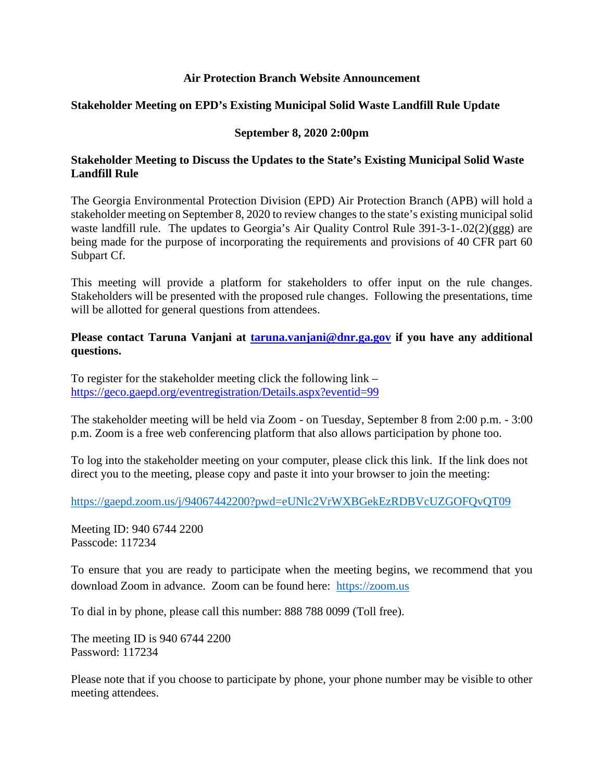## **Air Protection Branch Website Announcement**

## **Stakeholder Meeting on EPD's Existing Municipal Solid Waste Landfill Rule Update**

## **September 8, 2020 2:00pm**

## **Stakeholder Meeting to Discuss the Updates to the State's Existing Municipal Solid Waste Landfill Rule**

The Georgia Environmental Protection Division (EPD) Air Protection Branch (APB) will hold a stakeholder meeting on September 8, 2020 to review changes to the state's existing municipal solid waste landfill rule. The updates to Georgia's Air Quality Control Rule 391-3-1-.02(2)(ggg) are being made for the purpose of incorporating the requirements and provisions of 40 CFR part 60 Subpart Cf.

This meeting will provide a platform for stakeholders to offer input on the rule changes. Stakeholders will be presented with the proposed rule changes. Following the presentations, time will be allotted for general questions from attendees.

**Please contact Taruna Vanjani at [taruna.vanjani@dnr.ga.gov](mailto:taruna.vanjani@dnr.ga.gov) if you have any additional questions.** 

To register for the stakeholder meeting click the following link – <https://geco.gaepd.org/eventregistration/Details.aspx?eventid=99>

The stakeholder meeting will be held via Zoom - on Tuesday, September 8 from 2:00 p.m. - 3:00 p.m. Zoom is a free web conferencing platform that also allows participation by phone too.

To log into the stakeholder meeting on your computer, please click this link. If the link does not direct you to the meeting, please copy and paste it into your browser to join the meeting:

<https://gaepd.zoom.us/j/94067442200?pwd=eUNlc2VrWXBGekEzRDBVcUZGOFQvQT09>

Meeting ID: 940 6744 2200 Passcode: 117234

To ensure that you are ready to participate when the meeting begins, we recommend that you download Zoom in advance. Zoom can be found here: [https://zoom.us](https://zoom.us/)

To dial in by phone, please call this number: 888 788 0099 (Toll free).

The meeting ID is 940 6744 2200 Password: 117234

Please note that if you choose to participate by phone, your phone number may be visible to other meeting attendees.